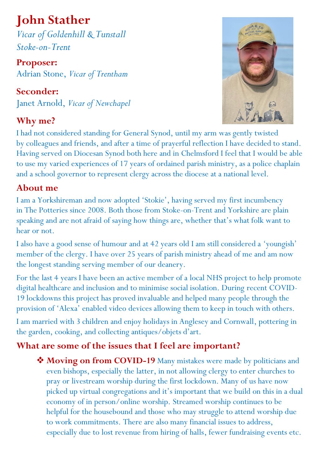## **John Stather**

*Vicar of Goldenhill & Tunstall Stoke-on-Trent*

**Proposer:**  Adrian Stone, *Vicar of Trentham*

**Seconder:**  Janet Arnold, *Vicar of Newchapel*

## **Why me?**



I had not considered standing for General Synod, until my arm was gently twisted by colleagues and friends, and after a time of prayerful reflection I have decided to stand. Having served on Diocesan Synod both here and in Chelmsford I feel that I would be able to use my varied experiences of 17 years of ordained parish ministry, as a police chaplain and a school governor to represent clergy across the diocese at a national level.

## **About me**

I am a Yorkshireman and now adopted 'Stokie', having served my first incumbency in The Potteries since 2008. Both those from Stoke-on-Trent and Yorkshire are plain speaking and are not afraid of saying how things are, whether that's what folk want to hear or not.

I also have a good sense of humour and at 42 years old I am still considered a 'youngish' member of the clergy. I have over 25 years of parish ministry ahead of me and am now the longest standing serving member of our deanery.

For the last 4 years I have been an active member of a local NHS project to help promote digital healthcare and inclusion and to minimise social isolation. During recent COVID-19 lockdowns this project has proved invaluable and helped many people through the provision of 'Alexa' enabled video devices allowing them to keep in touch with others.

I am married with 3 children and enjoy holidays in Anglesey and Cornwall, pottering in the garden, cooking, and collecting antiques/objets d'art.

## **What are some of the issues that I feel are important?**

◆ Moving on from COVID-19 Many mistakes were made by politicians and even bishops, especially the latter, in not allowing clergy to enter churches to pray or livestream worship during the first lockdown. Many of us have now picked up virtual congregations and it's important that we build on this in a dual economy of in person/online worship. Streamed worship continues to be helpful for the housebound and those who may struggle to attend worship due to work commitments. There are also many financial issues to address, especially due to lost revenue from hiring of halls, fewer fundraising events etc.